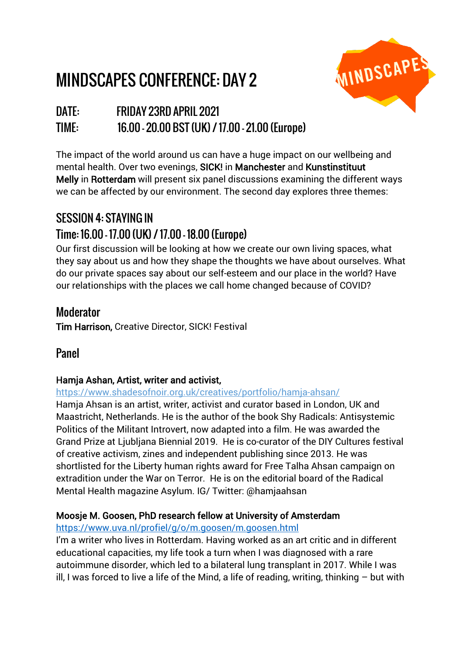# MINDSCAPES CONFERENCE: DAY 2



# DATE: FRIDAY 23RD APRIL 2021 TIME: 16.00 – 20.00 BST (UK) / 17.00 – 21.00 (Europe)

The impact of the world around us can have a huge impact on our wellbeing and mental health. Over two evenings, SICK! in Manchester and Kunstinstituut Melly in Rotterdam will present six panel discussions examining the different ways we can be affected by our environment. The second day explores three themes:

# SESSION 4: STAYING IN Time: 16.00 – 17.00 (UK) / 17.00 – 18.00 (Europe)

Our first discussion will be looking at how we create our own living spaces, what they say about us and how they shape the thoughts we have about ourselves. What do our private spaces say about our self-esteem and our place in the world? Have our relationships with the places we call home changed because of COVID?

# Moderator

Tim Harrison, Creative Director, SICK! Festival

# Panel

### Hamja Ashan, Artist, writer and activist,

<https://www.shadesofnoir.org.uk/creatives/portfolio/hamja-ahsan/>

Hamja Ahsan is an artist, writer, activist and curator based in London, UK and Maastricht, Netherlands. He is the author of the book Shy Radicals: Antisystemic Politics of the Militant Introvert, now adapted into a film. He was awarded the Grand Prize at Ljubljana Biennial 2019. He is co-curator of the DIY Cultures festival of creative activism, zines and independent publishing since 2013. He was shortlisted for the Liberty human rights award for Free Talha Ahsan campaign on extradition under the War on Terror. He is on the editorial board of the Radical Mental Health magazine Asylum. IG/ Twitter: @hamjaahsan

### Moosje M. Goosen, PhD research fellow at University of Amsterdam

#### <https://www.uva.nl/profiel/g/o/m.goosen/m.goosen.html>

I'm a writer who lives in Rotterdam. Having worked as an art critic and in different educational capacities, my life took a turn when I was diagnosed with a rare autoimmune disorder, which led to a bilateral lung transplant in 2017. While I was ill, I was forced to live a life of the Mind, a life of reading, writing, thinking  $-$  but with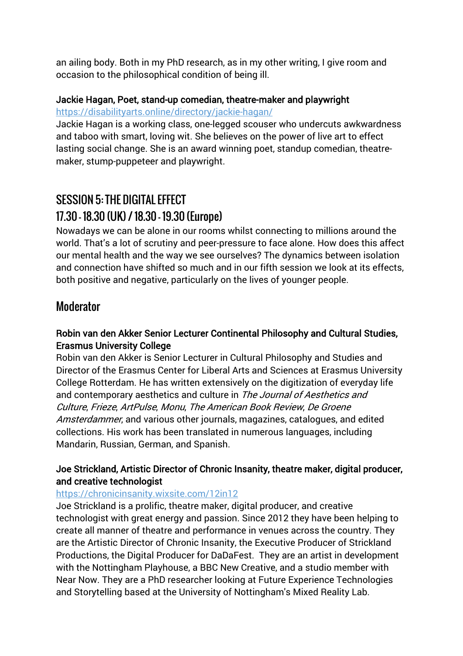an ailing body. Both in my PhD research, as in my other writing, I give room and occasion to the philosophical condition of being ill.

#### Jackie Hagan, Poet, stand-up comedian, theatre-maker and playwright <https://disabilityarts.online/directory/jackie-hagan/>

Jackie Hagan is a working class, one-legged scouser who undercuts awkwardness and taboo with smart, loving wit. She believes on the power of live art to effect lasting social change. She is an award winning poet, standup comedian, theatremaker, stump-puppeteer and playwright.

# SESSION 5: THE DIGITAL EFFECT 17.30 – 18.30 (UK) / 18.30 – 19.30 (Europe)

Nowadays we can be alone in our rooms whilst connecting to millions around the world. That's a lot of scrutiny and peer-pressure to face alone. How does this affect our mental health and the way we see ourselves? The dynamics between isolation and connection have shifted so much and in our fifth session we look at its effects, both positive and negative, particularly on the lives of younger people.

## Moderator

#### Robin van den Akker Senior Lecturer Continental Philosophy and Cultural Studies, Erasmus University College

Robin van den Akker is Senior Lecturer in Cultural Philosophy and Studies and Director of the Erasmus Center for Liberal Arts and Sciences at Erasmus University College Rotterdam. He has written extensively on the digitization of everyday life and contemporary aesthetics and culture in The Journal of Aesthetics and Culture, Frieze, ArtPulse, Monu, The American Book Review, De Groene Amsterdammer, and various other journals, magazines, catalogues, and edited collections. His work has been translated in numerous languages, including Mandarin, Russian, German, and Spanish.

#### Joe Strickland, Artistic Director of Chronic Insanity, theatre maker, digital producer, and creative technologist

#### <https://chronicinsanity.wixsite.com/12in12>

Joe Strickland is a prolific, theatre maker, digital producer, and creative technologist with great energy and passion. Since 2012 they have been helping to create all manner of theatre and performance in venues across the country. They are the Artistic Director of Chronic Insanity, the Executive Producer of Strickland Productions, the Digital Producer for DaDaFest. They are an artist in development with the Nottingham Playhouse, a BBC New Creative, and a studio member with Near Now. They are a PhD researcher looking at Future Experience Technologies and Storytelling based at the University of Nottingham's Mixed Reality Lab.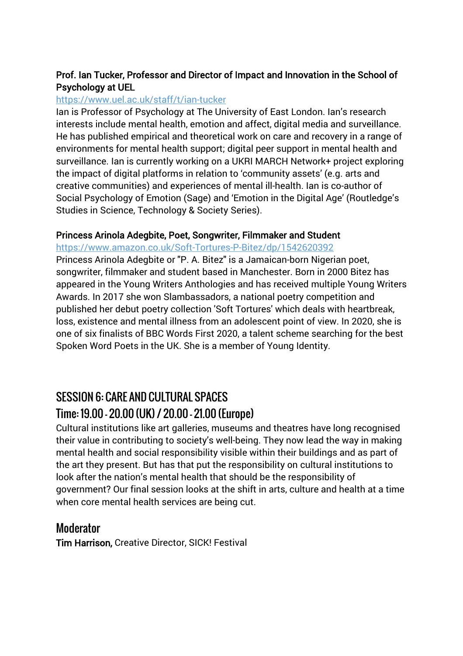#### Prof. Ian Tucker, Professor and Director of Impact and Innovation in the School of Psychology at UEL

#### <https://www.uel.ac.uk/staff/t/ian-tucker>

Ian is Professor of Psychology at The University of East London. Ian's research interests include mental health, emotion and affect, digital media and surveillance. He has published empirical and theoretical work on care and recovery in a range of environments for mental health support; digital peer support in mental health and surveillance. Ian is currently working on a UKRI MARCH Network+ project exploring the impact of digital platforms in relation to 'community assets' (e.g. arts and creative communities) and experiences of mental ill-health. Ian is co-author of Social Psychology of Emotion (Sage) and 'Emotion in the Digital Age' (Routledge's Studies in Science, Technology & Society Series).

#### Princess Arinola Adegbite, Poet, Songwriter, Filmmaker and Student

https://www.amazon.co.uk/Soft-Tortures-P-Bitez/dp/1542620392

Princess Arinola Adegbite or "P. A. Bitez" is a Jamaican-born Nigerian poet, songwriter, filmmaker and student based in Manchester. Born in 2000 Bitez has appeared in the Young Writers Anthologies and has received multiple Young Writers Awards. In 2017 she won Slambassadors, a national poetry competition and published her debut poetry collection 'Soft Tortures' which deals with heartbreak, loss, existence and mental illness from an adolescent point of view. In 2020, she is one of six finalists of BBC Words First 2020, a talent scheme searching for the best Spoken Word Poets in the UK. She is a member of Young Identity.

# SESSION 6: CARE AND CULTURAL SPACES Time: 19.00 – 20.00 (UK) / 20.00 – 21.00 (Europe)

Cultural institutions like art galleries, museums and theatres have long recognised their value in contributing to society's well-being. They now lead the way in making mental health and social responsibility visible within their buildings and as part of the art they present. But has that put the responsibility on cultural institutions to look after the nation's mental health that should be the responsibility of government? Our final session looks at the shift in arts, culture and health at a time when core mental health services are being cut.

### Moderator

Tim Harrison, Creative Director, SICK! Festival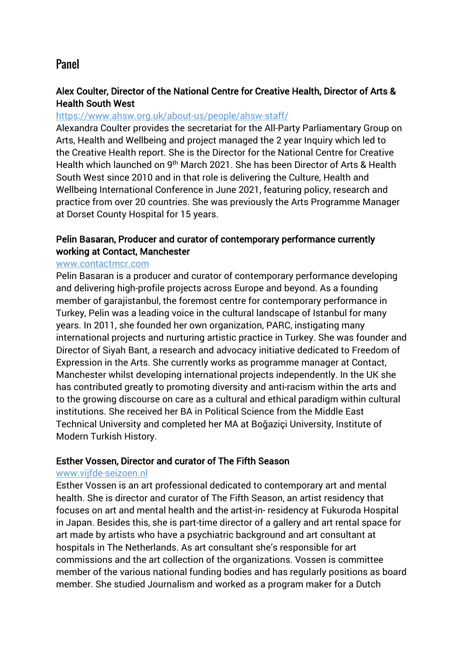### Panel

#### Alex Coulter, Director of the National Centre for Creative Health, Director of Arts & Health South West

#### <https://www.ahsw.org.uk/about-us/people/ahsw-staff/>

Alexandra Coulter provides the secretariat for the All-Party Parliamentary Group on Arts, Health and Wellbeing and project managed the 2 year Inquiry which led to the [Creative Health](http://www.artshealthandwellbeing.org.uk/appg-inquiry/) report. She is the Director for the [National Centre for Creative](http://www.ncch.org.uk/)  [Health](http://www.ncch.org.uk/) which launched on 9th March 2021. She has been Director of [Arts & Health](http://www.ahsw.org.uk/)  [South West](http://www.ahsw.org.uk/) since 2010 and in that role is delivering the [Culture, Health and](https://www.culturehealthwellbeing.org.uk/)  [Wellbeing International Conference](https://www.culturehealthwellbeing.org.uk/) in June 2021, featuring policy, research and practice from over 20 countries. She was previously the Arts Programme Manager at Dorset County Hospital for 15 years.

#### Pelin Basaran, Producer and curator of contemporary performance currently working at Contact, Manchester

#### [www.contactmcr.com](http://www.contactmcr.com/)

Pelin Basaran is a producer and curator of contemporary performance developing and delivering high-profile projects across Europe and beyond. As a founding member of garajistanbul, the foremost centre for contemporary performance in Turkey, Pelin was a leading voice in the cultural landscape of Istanbul for many years. In 2011, she founded her own organization, PARC, instigating many international projects and nurturing artistic practice in Turkey. She was founder and Director of Siyah Bant, a research and advocacy initiative dedicated to Freedom of Expression in the Arts. She currently works as programme manager at Contact, Manchester whilst developing international projects independently. In the UK she has contributed greatly to promoting diversity and anti-racism within the arts and to the growing discourse on care as a cultural and ethical paradigm within cultural institutions. She received her BA in Political Science from the Middle East Technical University and completed her MA at Boğaziçi University, Institute of Modern Turkish History.

#### Esther Vossen, Director and curator of The Fifth Season

#### [www.vijfde-seizoen.nl](http://www.vijfde-seizoen.nl/)

Esther Vossen is an art professional dedicated to contemporary art and mental health. She is director and curator of The Fifth Season, an artist residency that focuses on art and mental health and the artist-in- residency at Fukuroda Hospital in Japan. Besides this, she is part-time director of a gallery and art rental space for art made by artists who have a psychiatric background and art consultant at hospitals in The Netherlands. As art consultant she's responsible for art commissions and the art collection of the organizations. Vossen is committee member of the various national funding bodies and has regularly positions as board member. She studied Journalism and worked as a program maker for a Dutch